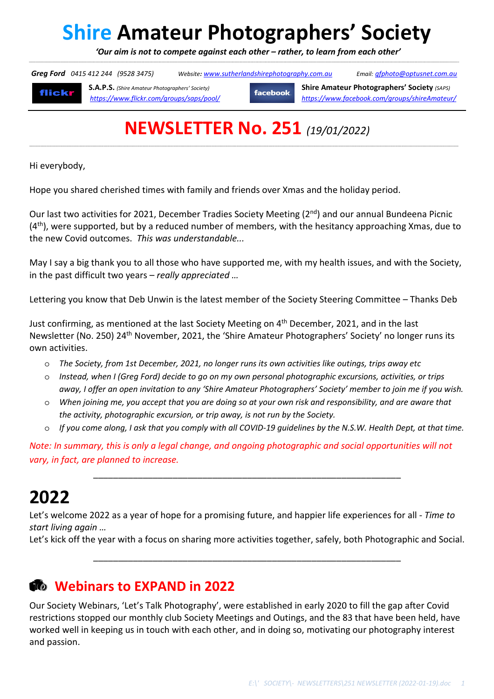# **Shire Amateur Photographers' Society**

 *'Our aim is not to compete against each other – rather, to learn from each other'*  \_\_\_\_\_\_\_\_\_\_\_\_\_\_\_\_\_\_\_\_\_\_\_\_\_\_\_\_\_\_\_\_\_\_\_\_\_\_\_\_\_\_\_\_\_\_\_\_\_\_\_\_\_\_\_\_\_\_\_\_\_\_\_\_\_\_\_\_\_\_\_\_\_\_\_\_\_\_\_\_\_\_\_\_\_\_\_\_\_\_\_\_\_\_\_\_\_\_\_\_\_\_\_\_\_\_\_\_\_\_\_\_\_\_\_\_\_\_\_\_\_\_\_\_\_\_\_\_\_\_\_\_\_\_\_\_\_\_\_\_\_\_\_\_\_\_\_\_\_\_\_\_\_\_\_\_\_\_\_\_\_\_\_\_\_\_\_\_\_\_\_\_\_\_\_\_\_\_\_\_\_\_\_\_\_\_\_\_\_\_\_\_\_\_\_\_\_\_\_\_\_\_\_\_\_\_\_\_\_\_\_\_\_\_\_\_\_\_\_\_\_\_\_\_\_\_\_\_\_\_\_\_\_\_\_\_\_\_\_\_\_\_\_\_\_\_\_\_\_\_\_\_\_\_\_\_\_\_\_\_

 *Greg Ford 0415 412 244 (9528 3475) Website: www.sutherlandshirephotography.com.au Email: gfphoto@optusnet.com.au* 

flickr

**S.A.P.S.** *(Shire Amateur Photographers' Society)* **facebook Shire Amateur Photographers' Society** *(SAPS) https://www.flickr.com/groups/saps/pool/ https://www.facebook.com/groups/shireAmateur/*

# **NEWSLETTER No. 251** *(19/01/2022)*

,一个人的人都是不是,他们的人都是不是,他们的人都是不是,他们的人都是不是,他们的人都是不是,他们的人都是不是,他们的人都是不是,他们的人都是不是,他们的人都是不

Hi everybody,

Hope you shared cherished times with family and friends over Xmas and the holiday period.

Our last two activities for 2021, December Tradies Society Meeting (2<sup>nd</sup>) and our annual Bundeena Picnic (4<sup>th</sup>), were supported, but by a reduced number of members, with the hesitancy approaching Xmas, due to the new Covid outcomes. *This was understandable...*

May I say a big thank you to all those who have supported me, with my health issues, and with the Society, in the past difficult two years – *really appreciated …*

Lettering you know that Deb Unwin is the latest member of the Society Steering Committee – Thanks Deb

Just confirming, as mentioned at the last Society Meeting on 4th December, 2021, and in the last Newsletter (No. 250) 24<sup>th</sup> November, 2021, the 'Shire Amateur Photographers' Society' no longer runs its own activities.

- o *The Society, from 1st December, 2021, no longer runs its own activities like outings, trips away etc*
- o *Instead, when I (Greg Ford) decide to go on my own personal photographic excursions, activities, or trips away, I offer an open invitation to any 'Shire Amateur Photographers' Society' member to join me if you wish.*
- o *When joining me, you accept that you are doing so at your own risk and responsibility, and are aware that the activity, photographic excursion, or trip away, is not run by the Society.*
- If you come along, I ask that you comply with all COVID-19 guidelines by the N.S.W. Health Dept, at that time.

*Note: In summary, this is only a legal change, and ongoing photographic and social opportunities will not vary, in fact, are planned to increase.* 

\_\_\_\_\_\_\_\_\_\_\_\_\_\_\_\_\_\_\_\_\_\_\_\_\_\_\_\_\_\_\_\_\_\_\_\_\_\_\_\_\_\_\_\_\_\_\_\_\_\_\_\_\_\_\_\_\_\_\_\_\_\_

## **2022**

Let's welcome 2022 as a year of hope for a promising future, and happier life experiences for all - *Time to start living again …*

Let's kick off the year with a focus on sharing more activities together, safely, both Photographic and Social.

\_\_\_\_\_\_\_\_\_\_\_\_\_\_\_\_\_\_\_\_\_\_\_\_\_\_\_\_\_\_\_\_\_\_\_\_\_\_\_\_\_\_\_\_\_\_\_\_\_\_\_\_\_\_\_\_\_\_\_\_\_\_

### **Webinars to EXPAND in 2022**

Our Society Webinars, 'Let's Talk Photography', were established in early 2020 to fill the gap after Covid restrictions stopped our monthly club Society Meetings and Outings, and the 83 that have been held, have worked well in keeping us in touch with each other, and in doing so, motivating our photography interest and passion.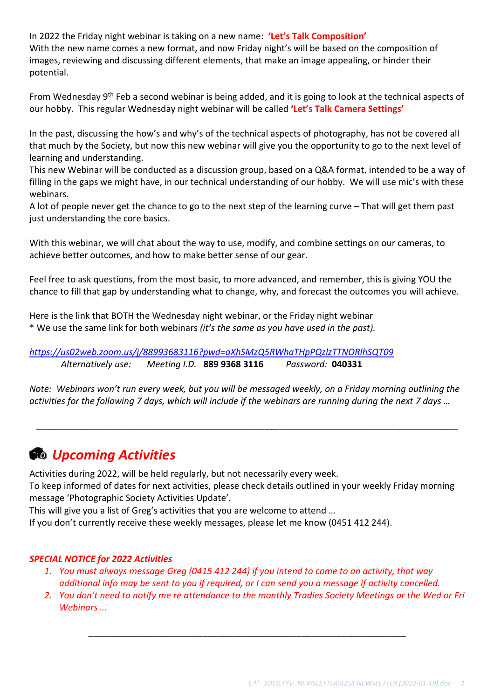In 2022 the Friday night webinar is taking on a new name: **'Let's Talk Composition'** With the new name comes a new format, and now Friday night's will be based on the composition of images, reviewing and discussing different elements, that make an image appealing, or hinder their potential.

From Wednesday 9<sup>th</sup> Feb a second webinar is being added, and it is going to look at the technical aspects of our hobby. This regular Wednesday night webinar will be called **'Let's Talk Camera Settings'**

In the past, discussing the how's and why's of the technical aspects of photography, has not be covered all that much by the Society, but now this new webinar will give you the opportunity to go to the next level of learning and understanding.

This new Webinar will be conducted as a discussion group, based on a Q&A format, intended to be a way of filling in the gaps we might have, in our technical understanding of our hobby. We will use mic's with these webinars.

A lot of people never get the chance to go to the next step of the learning curve – That will get them past just understanding the core basics.

With this webinar, we will chat about the way to use, modify, and combine settings on our cameras, to achieve better outcomes, and how to make better sense of our gear.

Feel free to ask questions, from the most basic, to more advanced, and remember, this is giving YOU the chance to fill that gap by understanding what to change, why, and forecast the outcomes you will achieve.

Here is the link that BOTH the Wednesday night webinar, or the Friday night webinar \* We use the same link for both webinars *(it's the same as you have used in the past).*

*https://us02web.zoom.us/j/88993683116?pwd=aXhSMzQ5RWhaTHpPQzlzTTNORlhSQT09 Alternatively use: Meeting I.D.* **889 9368 3116** *Password:* **040331**

*Note: Webinars won't run every week, but you will be messaged weekly, on a Friday morning outlining the activities for the following 7 days, which will include if the webinars are running during the next 7 days …* 

\_\_\_\_\_\_\_\_\_\_\_\_\_\_\_\_\_\_\_\_\_\_\_\_\_\_\_\_\_\_\_\_\_\_\_\_\_\_\_\_\_\_\_\_\_\_\_\_\_\_\_\_\_\_\_\_\_\_\_\_\_\_\_\_\_\_\_\_\_\_\_\_\_\_\_\_\_\_\_\_\_\_\_\_\_

### *Upcoming Activities*

Activities during 2022, will be held regularly, but not necessarily every week.

To keep informed of dates for next activities, please check details outlined in your weekly Friday morning message 'Photographic Society Activities Update'.

This will give you a list of Greg's activities that you are welcome to attend …

If you don't currently receive these weekly messages, please let me know (0451 412 244).

#### *SPECIAL NOTICE for 2022 Activities*

*1. You must always message Greg (0415 412 244) if you intend to come to an activity, that way additional info may be sent to you if required, or I can send you a message if activity cancelled.* 

\_\_\_\_\_\_\_\_\_\_\_\_\_\_\_\_\_\_\_\_\_\_\_\_\_\_\_\_\_\_\_\_\_\_\_\_\_\_\_\_\_\_\_\_\_\_\_\_\_\_\_\_\_\_\_\_\_\_\_\_\_\_\_\_

*2. You don't need to notify me re attendance to the monthly Tradies Society Meetings or the Wed or Fri Webinars …*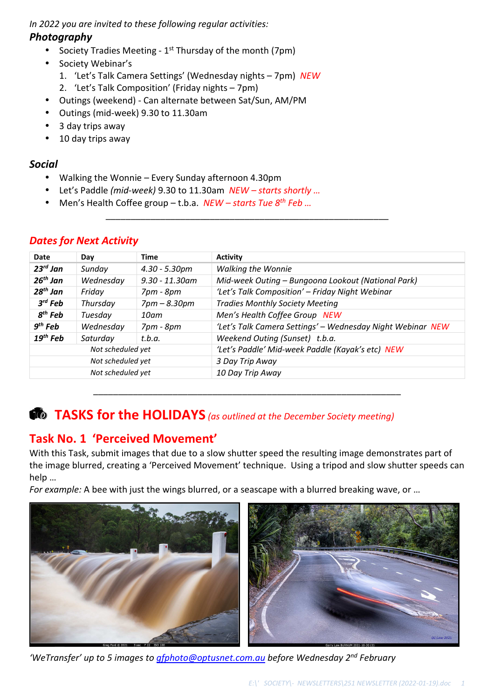*In 2022 you are invited to these following regular activities:* 

### *Photography*

- Society Tradies Meeting  $1<sup>st</sup>$  Thursday of the month (7pm)
- Society Webinar's
	- 1. 'Let's Talk Camera Settings' (Wednesday nights 7pm) *NEW*
	- 2. 'Let's Talk Composition' (Friday nights 7pm)
- Outings (weekend) Can alternate between Sat/Sun, AM/PM
- Outings (mid-week) 9.30 to 11.30am
- 3 day trips away
- 10 day trips away

### *Social*

- Walking the Wonnie Every Sunday afternoon 4.30pm
- Let's Paddle *(mid-week)* 9.30 to 11.30am *NEW starts shortly …*
- Men's Health Coffee group t.b.a. *NEW starts Tue 8th Feb …*

| Date              | Day       | <b>Time</b>       | <b>Activity</b>                                            |  |  |
|-------------------|-----------|-------------------|------------------------------------------------------------|--|--|
| $23^{rd}$ Jan     | Sunday    | $4.30 - 5.30$ pm  | <b>Walking the Wonnie</b>                                  |  |  |
| $26^{th}$ Jan     | Wednesday | $9.30 - 11.30$ am | Mid-week Outing - Bungoona Lookout (National Park)         |  |  |
| 28 $^{th}$ Jan    | Friday    | 7pm - 8pm         | 'Let's Talk Composition' - Friday Night Webinar            |  |  |
| $3^{rd}$ Feb      | Thursday  | $7pm - 8.30pm$    | <b>Tradies Monthly Society Meeting</b>                     |  |  |
| $8th$ Feb         | Tuesday   | $10$ am           | Men's Health Coffee Group NEW                              |  |  |
| $9th$ Feb         | Wednesday | 7pm - 8pm         | 'Let's Talk Camera Settings' - Wednesday Night Webinar NEW |  |  |
| $19th$ Feb        | Saturday  | t.b.a.            | Weekend Outing (Sunset) t.b.a.                             |  |  |
| Not scheduled yet |           |                   | 'Let's Paddle' Mid-week Paddle (Kayak's etc) NEW           |  |  |
| Not scheduled yet |           |                   | 3 Day Trip Away                                            |  |  |
| Not scheduled yet |           |                   | 10 Day Trip Away                                           |  |  |

\_\_\_\_\_\_\_\_\_\_\_\_\_\_\_\_\_\_\_\_\_\_\_\_\_\_\_\_\_\_\_\_\_\_\_\_\_\_\_\_\_\_\_\_\_\_\_\_\_\_\_\_\_\_\_\_\_

### *Dates for Next Activity*

### **TASKS for the HOLIDAYS** *(as outlined at the December Society meeting)*

### **Task No. 1 'Perceived Movement'**

With this Task, submit images that due to a slow shutter speed the resulting image demonstrates part of the image blurred, creating a 'Perceived Movement' technique. Using a tripod and slow shutter speeds can help …

\_\_\_\_\_\_\_\_\_\_\_\_\_\_\_\_\_\_\_\_\_\_\_\_\_\_\_\_\_\_\_\_\_\_\_\_\_\_\_\_\_\_\_\_\_\_\_\_\_\_\_\_\_\_\_\_\_\_\_\_\_\_

*For example:* A bee with just the wings blurred, or a seascape with a blurred breaking wave, or …



*'WeTransfer' up to 5 images to gfphoto@optusnet.com.au before Wednesday 2nd February*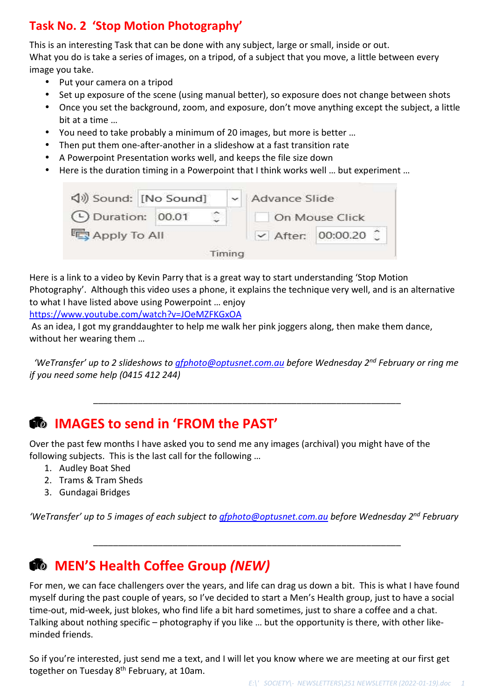### **Task No. 2 'Stop Motion Photography'**

This is an interesting Task that can be done with any subject, large or small, inside or out. What you do is take a series of images, on a tripod, of a subject that you move, a little between every image you take.

- Put your camera on a tripod
- Set up exposure of the scene (using manual better), so exposure does not change between shots
- Once you set the background, zoom, and exposure, don't move anything except the subject, a little bit at a time …
- You need to take probably a minimum of 20 images, but more is better …
- Then put them one-after-another in a slideshow at a fast transition rate
- A Powerpoint Presentation works well, and keeps the file size down
- Here is the duration timing in a Powerpoint that I think works well … but experiment …

| √) Sound: [No Sound]     |  |  |                                  | Advance Slide |                |
|--------------------------|--|--|----------------------------------|---------------|----------------|
| <b>C</b> Duration: 00.01 |  |  |                                  |               | On Mouse Click |
| Apply To All             |  |  | $\triangleright$ After: 00:00.20 |               |                |

Here is a link to a video by Kevin Parry that is a great way to start understanding 'Stop Motion Photography'. Although this video uses a phone, it explains the technique very well, and is an alternative to what I have listed above using Powerpoint … enjoy

https://www.youtube.com/watch?v=JOeMZFKGxOA

 As an idea, I got my granddaughter to help me walk her pink joggers along, then make them dance, without her wearing them …

 *'WeTransfer' up to 2 slideshows to gfphoto@optusnet.com.au before Wednesday 2nd February or ring me if you need some help (0415 412 244)* 

\_\_\_\_\_\_\_\_\_\_\_\_\_\_\_\_\_\_\_\_\_\_\_\_\_\_\_\_\_\_\_\_\_\_\_\_\_\_\_\_\_\_\_\_\_\_\_\_\_\_\_\_\_\_\_\_\_\_\_\_\_\_

### **IMAGES to send in 'FROM the PAST'**

Over the past few months I have asked you to send me any images (archival) you might have of the following subjects. This is the last call for the following …

- 1. Audley Boat Shed
- 2. Trams & Tram Sheds
- 3. Gundagai Bridges

*'WeTransfer' up to 5 images of each subject to gfphoto@optusnet.com.au before Wednesday 2nd February* 

\_\_\_\_\_\_\_\_\_\_\_\_\_\_\_\_\_\_\_\_\_\_\_\_\_\_\_\_\_\_\_\_\_\_\_\_\_\_\_\_\_\_\_\_\_\_\_\_\_\_\_\_\_\_\_\_\_\_\_\_\_\_

### **MEN'S Health Coffee Group** *(NEW)*

For men, we can face challengers over the years, and life can drag us down a bit. This is what I have found myself during the past couple of years, so I've decided to start a Men's Health group, just to have a social time-out, mid-week, just blokes, who find life a bit hard sometimes, just to share a coffee and a chat. Talking about nothing specific – photography if you like … but the opportunity is there, with other likeminded friends.

So if you're interested, just send me a text, and I will let you know where we are meeting at our first get together on Tuesday 8<sup>th</sup> February, at 10am.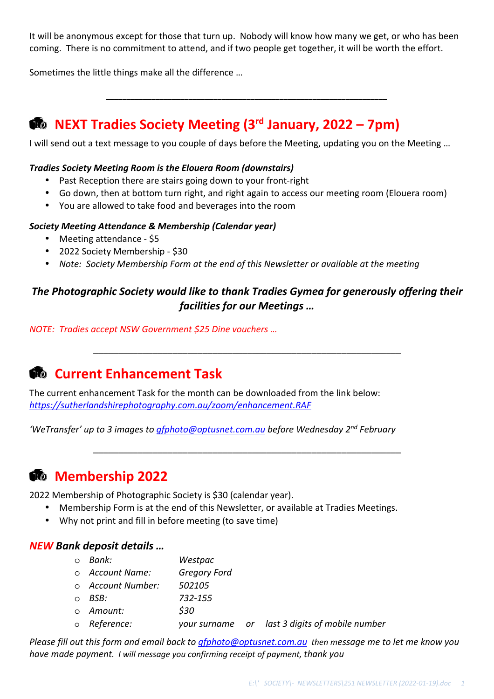It will be anonymous except for those that turn up. Nobody will know how many we get, or who has been coming. There is no commitment to attend, and if two people get together, it will be worth the effort.

*\_\_\_\_\_\_\_\_\_\_\_\_\_\_\_\_\_\_\_\_\_\_\_\_\_\_\_\_\_\_\_\_\_\_\_\_\_\_\_\_\_\_\_\_\_\_\_\_\_\_\_\_\_\_\_\_\_\_\_\_\_\_\_\_\_\_\_\_* 

Sometimes the little things make all the difference …

### **NEXT Tradies Society Meeting (3rd January, 2022 – 7pm)**

I will send out a text message to you couple of days before the Meeting, updating you on the Meeting …

#### *Tradies Society Meeting Room is the Elouera Room (downstairs)*

- Past Reception there are stairs going down to your front-right
- Go down, then at bottom turn right, and right again to access our meeting room (Elouera room)
- You are allowed to take food and beverages into the room

#### *Society Meeting Attendance & Membership (Calendar year)*

- Meeting attendance \$5
- 2022 Society Membership \$30
- *Note: Society Membership Form at the end of this Newsletter or available at the meeting*

### *The Photographic Society would like to thank Tradies Gymea for generously offering their facilities for our Meetings …*

\_\_\_\_\_\_\_\_\_\_\_\_\_\_\_\_\_\_\_\_\_\_\_\_\_\_\_\_\_\_\_\_\_\_\_\_\_\_\_\_\_\_\_\_\_\_\_\_\_\_\_\_\_\_\_\_\_\_\_\_\_\_

\_\_\_\_\_\_\_\_\_\_\_\_\_\_\_\_\_\_\_\_\_\_\_\_\_\_\_\_\_\_\_\_\_\_\_\_\_\_\_\_\_\_\_\_\_\_\_\_\_\_\_\_\_\_\_\_\_\_\_\_\_\_

*NOTE: Tradies accept NSW Government \$25 Dine vouchers …* 

### *Current Enhancement Task*

The current enhancement Task for the month can be downloaded from the link below: *https://sutherlandshirephotography.com.au/zoom/enhancement.RAF* 

*'WeTransfer' up to 3 images to gfphoto@optusnet.com.au before Wednesday 2nd February* 

### **Membership 2022**

2022 Membership of Photographic Society is \$30 (calendar year).

- Membership Form is at the end of this Newsletter, or available at Tradies Meetings.
	- Why not print and fill in before meeting (to save time)

#### *NEW Bank deposit details …*

- o *Bank: Westpac*
- o *Account Name: Gregory Ford*
- o *Account Number: 502105*
- o *BSB: 732-155*
- o *Amount: \$30*
- o *Reference: your surname or last 3 digits of mobile number*

*Please fill out this form and email back to gfphoto@optusnet.com.au then message me to let me know you have made payment. I will message you confirming receipt of payment, thank you*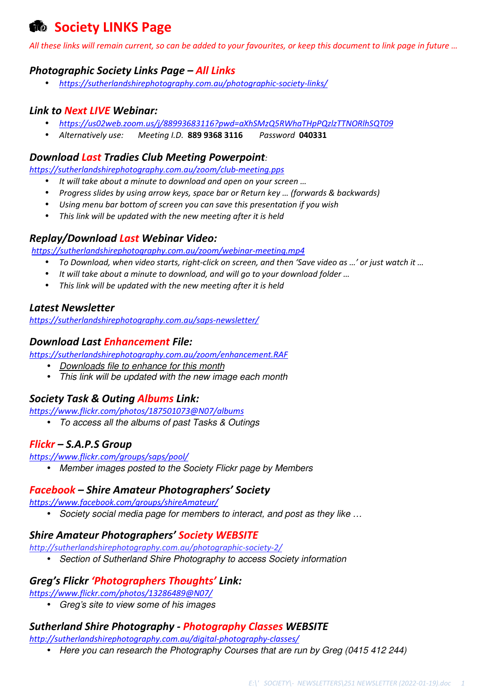### *<b>M* Society LINKS Page

*All these links will remain current, so can be added to your favourites, or keep this document to link page in future …* 

### *Photographic Society Links Page – All Links*

• *https://sutherlandshirephotography.com.au/photographic-society-links/*

### *Link to Next LIVE Webinar:*

- *https://us02web.zoom.us/j/88993683116?pwd=aXhSMzQ5RWhaTHpPQzlzTTNORlhSQT09*
- *Alternatively use: Meeting I.D.* **889 9368 3116** *Password* **040331**

#### *Download Last Tradies Club Meeting Powerpoint:*

*https://sutherlandshirephotography.com.au/zoom/club-meeting.pps* 

- *It will take about a minute to download and open on your screen …*
- *Progress slides by using arrow keys, space bar or Return key … (forwards & backwards)*
- *Using menu bar bottom of screen you can save this presentation if you wish*
- *This link will be updated with the new meeting after it is held*

### *Replay/Download Last Webinar Video:*

*https://sutherlandshirephotography.com.au/zoom/webinar-meeting.mp4*

- *To Download, when video starts, right-click on screen, and then 'Save video as …' or just watch it …*
- *It will take about a minute to download, and will go to your download folder …*
- *This link will be updated with the new meeting after it is held*

#### *Latest Newsletter*

*https://sutherlandshirephotography.com.au/saps-newsletter/*

#### *Download Last Enhancement File:*

*https://sutherlandshirephotography.com.au/zoom/enhancement.RAF* 

- Downloads file to enhance for this month
- This link will be updated with the new image each month

### *Society Task & Outing Albums Link:*

*https://www.flickr.com/photos/187501073@N07/albums* 

• To access all the albums of past Tasks & Outings

### *Flickr – S.A.P.S Group*

*https://www.flickr.com/groups/saps/pool/* 

• Member images posted to the Society Flickr page by Members

### *Facebook – Shire Amateur Photographers' Society*

*https://www.facebook.com/groups/shireAmateur/* 

• Society social media page for members to interact, and post as they like ...

#### *Shire Amateur Photographers' Society WEBSITE*

*http://sutherlandshirephotography.com.au/photographic-society-2/* 

• Section of Sutherland Shire Photography to access Society information

#### *Greg's Flickr 'Photographers Thoughts' Link:*

*https://www.flickr.com/photos/13286489@N07/* 

• Greg's site to view some of his images

### *Sutherland Shire Photography - Photography Classes WEBSITE*

*http://sutherlandshirephotography.com.au/digital-photography-classes/*

• Here you can research the Photography Courses that are run by Greg (0415 412 244)